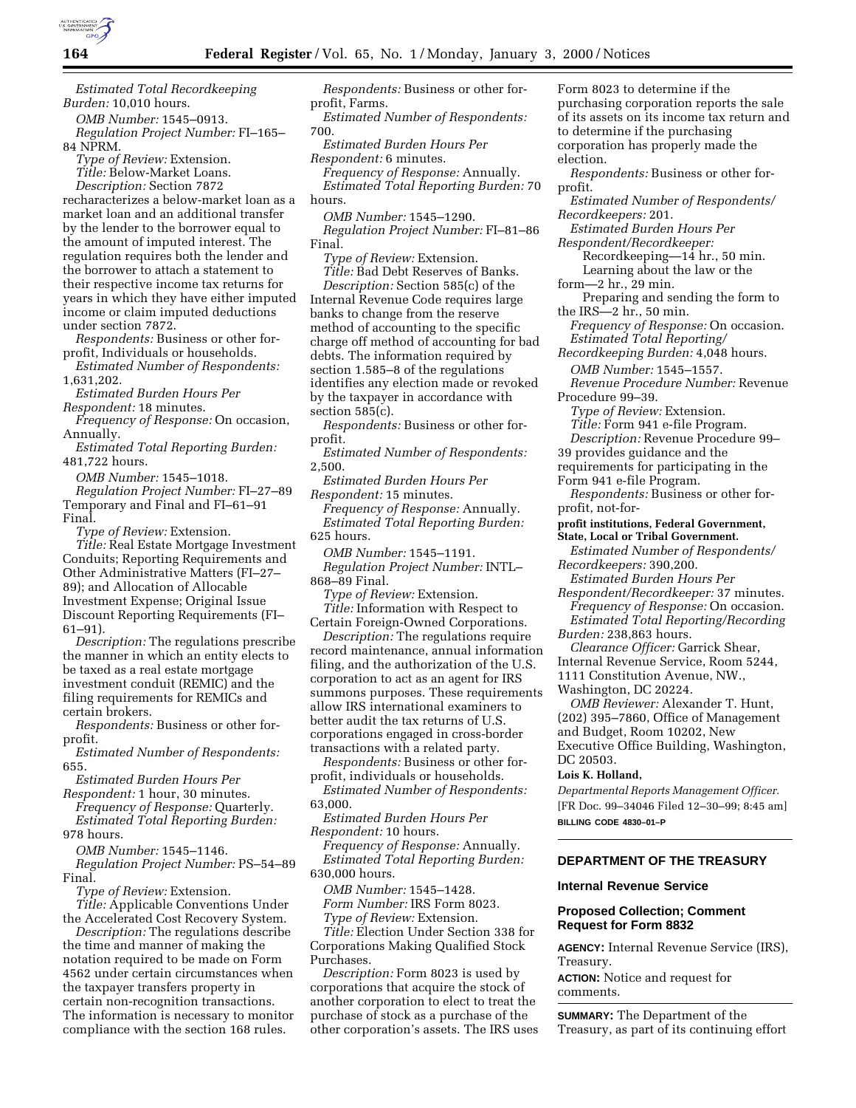

*Estimated Total Recordkeeping Burden:* 10,010 hours.

*OMB Number:* 1545–0913. *Regulation Project Number:* FI–165– 84 NPRM.

*Type of Review:* Extension. *Title:* Below-Market Loans. *Description:* Section 7872

recharacterizes a below-market loan as a market loan and an additional transfer by the lender to the borrower equal to the amount of imputed interest. The regulation requires both the lender and the borrower to attach a statement to their respective income tax returns for years in which they have either imputed income or claim imputed deductions under section 7872.

*Respondents:* Business or other forprofit, Individuals or households.

*Estimated Number of Respondents:* 1,631,202.

*Estimated Burden Hours Per Respondent:* 18 minutes.

*Frequency of Response:* On occasion, Annually.

*Estimated Total Reporting Burden:* 481,722 hours.

*OMB Number:* 1545–1018. *Regulation Project Number:* FI–27–89 Temporary and Final and FI–61–91 Final.

*Type of Review:* Extension. *Title:* Real Estate Mortgage Investment Conduits; Reporting Requirements and Other Administrative Matters (FI–27– 89); and Allocation of Allocable Investment Expense; Original Issue Discount Reporting Requirements (FI– 61–91).

*Description:* The regulations prescribe the manner in which an entity elects to be taxed as a real estate mortgage investment conduit (REMIC) and the filing requirements for REMICs and certain brokers.

*Respondents:* Business or other forprofit.

*Estimated Number of Respondents:* 655.

*Estimated Burden Hours Per*

*Respondent:* 1 hour, 30 minutes. *Frequency of Response:* Quarterly. *Estimated Total Reporting Burden:*

978 hours.

*OMB Number:* 1545–1146. *Regulation Project Number:* PS–54–89 Final.

*Type of Review:* Extension.

*Title:* Applicable Conventions Under the Accelerated Cost Recovery System.

*Description:* The regulations describe the time and manner of making the notation required to be made on Form 4562 under certain circumstances when the taxpayer transfers property in certain non-recognition transactions. The information is necessary to monitor compliance with the section 168 rules.

*Respondents:* Business or other forprofit, Farms.

*Estimated Number of Respondents:* 700.

*Estimated Burden Hours Per Respondent:* 6 minutes.

*Frequency of Response:* Annually. *Estimated Total Reporting Burden:* 70 hours.

*OMB Number:* 1545–1290. *Regulation Project Number:* FI–81–86 Final.

*Type of Review:* Extension. *Title:* Bad Debt Reserves of Banks. *Description:* Section 585(c) of the Internal Revenue Code requires large banks to change from the reserve method of accounting to the specific charge off method of accounting for bad debts. The information required by section 1.585–8 of the regulations identifies any election made or revoked by the taxpayer in accordance with section 585(c).

*Respondents:* Business or other forprofit.

*Estimated Number of Respondents:* 2,500.

*Estimated Burden Hours Per Respondent:* 15 minutes.

*Frequency of Response:* Annually. *Estimated Total Reporting Burden:* 625 hours.

*OMB Number:* 1545–1191. *Regulation Project Number:* INTL– 868–89 Final.

*Type of Review:* Extension. *Title:* Information with Respect to

Certain Foreign-Owned Corporations. *Description:* The regulations require record maintenance, annual information filing, and the authorization of the U.S. corporation to act as an agent for IRS summons purposes. These requirements allow IRS international examiners to better audit the tax returns of U.S. corporations engaged in cross-border transactions with a related party.

*Respondents:* Business or other forprofit, individuals or households. *Estimated Number of Respondents:*

63,000.

*Estimated Burden Hours Per Respondent:* 10 hours.

*Frequency of Response:* Annually. *Estimated Total Reporting Burden:* 630,000 hours.

*OMB Number:* 1545–1428. *Form Number:* IRS Form 8023. *Type of Review:* Extension.

*Title:* Election Under Section 338 for Corporations Making Qualified Stock Purchases.

*Description:* Form 8023 is used by corporations that acquire the stock of another corporation to elect to treat the purchase of stock as a purchase of the other corporation's assets. The IRS uses Form 8023 to determine if the purchasing corporation reports the sale of its assets on its income tax return and to determine if the purchasing corporation has properly made the election.

*Respondents:* Business or other forprofit.

*Estimated Number of Respondents/ Recordkeepers:* 201.

*Estimated Burden Hours Per Respondent/Recordkeeper:*

Recordkeeping—14 hr., 50 min. Learning about the law or the

form—2 hr., 29 min.

Preparing and sending the form to the IRS—2 hr., 50 min.

*Frequency of Response:* On occasion. *Estimated Total Reporting/*

*Recordkeeping Burden:* 4,048 hours. *OMB Number:* 1545–1557.

*Revenue Procedure Number:* Revenue Procedure 99–39.

*Type of Review:* Extension. *Title:* Form 941 e-file Program.

*Description:* Revenue Procedure 99–

39 provides guidance and the

requirements for participating in the

Form 941 e-file Program. *Respondents:* Business or other for-

profit, not-for-

**profit institutions, Federal Government, State, Local or Tribal Government.**

*Estimated Number of Respondents/ Recordkeepers:* 390,200.

*Estimated Burden Hours Per*

*Respondent/Recordkeeper:* 37 minutes. *Frequency of Response:* On occasion. *Estimated Total Reporting/Recording*

*Burden:* 238,863 hours.

*Clearance Officer:* Garrick Shear, Internal Revenue Service, Room 5244, 1111 Constitution Avenue, NW.,

Washington, DC 20224.

*OMB Reviewer:* Alexander T. Hunt, (202) 395–7860, Office of Management and Budget, Room 10202, New Executive Office Building, Washington, DC 20503.

## **Lois K. Holland,**

*Departmental Reports Management Officer.* [FR Doc. 99–34046 Filed 12–30–99; 8:45 am] **BILLING CODE 4830–01–P**

# **DEPARTMENT OF THE TREASURY**

## **Internal Revenue Service**

## **Proposed Collection; Comment Request for Form 8832**

**AGENCY:** Internal Revenue Service (IRS), Treasury.

**ACTION:** Notice and request for comments.

**SUMMARY:** The Department of the Treasury, as part of its continuing effort